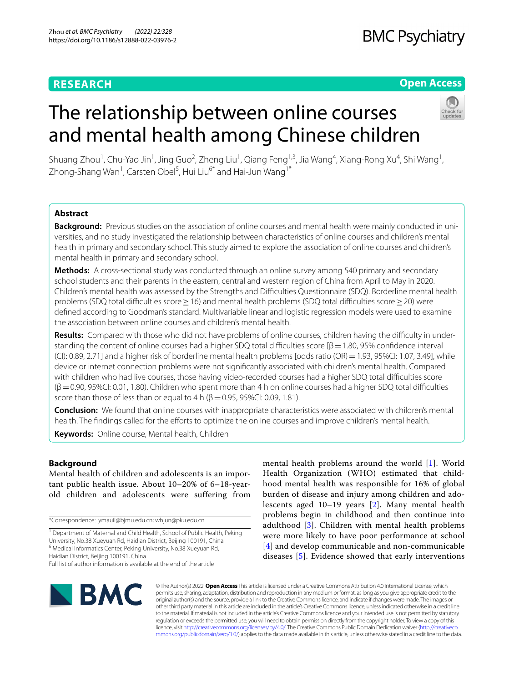# **RESEARCH**

# **Open Access**



# The relationship between online courses and mental health among Chinese children

Shuang Zhou<sup>1</sup>, Chu-Yao Jin<sup>1</sup>, Jing Guo<sup>2</sup>, Zheng Liu<sup>1</sup>, Qiang Feng<sup>1,3</sup>, Jia Wang<sup>4</sup>, Xiang-Rong Xu<sup>4</sup>, Shi Wang<sup>1</sup>, Zhong-Shang Wan<sup>1</sup>, Carsten Obel<sup>5</sup>, Hui Liu<sup>6\*</sup> and Hai-Jun Wang<sup>1\*</sup>

# **Abstract**

Background: Previous studies on the association of online courses and mental health were mainly conducted in universities, and no study investigated the relationship between characteristics of online courses and children's mental health in primary and secondary school. This study aimed to explore the association of online courses and children's mental health in primary and secondary school.

**Methods:** A cross-sectional study was conducted through an online survey among 540 primary and secondary school students and their parents in the eastern, central and western region of China from April to May in 2020. Children's mental health was assessed by the Strengths and Difficulties Questionnaire (SDQ). Borderline mental health problems (SDQ total difficulties score > 16) and mental health problems (SDQ total difficulties score > 20) were defned according to Goodman's standard. Multivariable linear and logistic regression models were used to examine the association between online courses and children's mental health.

Results: Compared with those who did not have problems of online courses, children having the difficulty in understanding the content of online courses had a higher SDQ total difficulties score  $\beta$  = 1.80, 95% confidence interval (CI): 0.89, 2.71] and a higher risk of borderline mental health problems [odds ratio (OR)=1.93, 95%CI: 1.07, 3.49], while device or internet connection problems were not signifcantly associated with children's mental health. Compared with children who had live courses, those having video-recorded courses had a higher SDQ total difculties score  $(\beta$  = 0.90, 95%CI: 0.01, 1.80). Children who spent more than 4 h on online courses had a higher SDQ total difficulties score than those of less than or equal to 4 h ( $\beta$  = 0.95, 95%CI: 0.09, 1.81).

**Conclusion:** We found that online courses with inappropriate characteristics were associated with children's mental health. The fndings called for the eforts to optimize the online courses and improve children's mental health.

**Keywords:** Online course, Mental health, Children

# **Background**

Mental health of children and adolescents is an important public health issue. About 10–20% of 6–18-yearold children and adolescents were suffering from

\*Correspondence: ymauil@bjmu.edu.cn; whjun@pku.edu.cn

<sup>1</sup> Department of Maternal and Child Health, School of Public Health, Peking University, No.38 Xueyuan Rd, Haidian District, Beijing 100191, China <sup>6</sup> Medical Informatics Center, Peking University, No.38 Xueyuan Rd,

Haidian District, Beijing 100191, China

Full list of author information is available at the end of the article

mental health problems around the world [[1](#page-9-0)]. World Health Organization (WHO) estimated that childhood mental health was responsible for 16% of global burden of disease and injury among children and adolescents aged 10–19 years [[2\]](#page-9-1). Many mental health problems begin in childhood and then continue into adulthood  $[3]$  $[3]$ . Children with mental health problems were more likely to have poor performance at school [[4](#page-9-3)] and develop communicable and non-communicable diseases [[5](#page-9-4)]. Evidence showed that early interventions



© The Author(s) 2022. **Open Access** This article is licensed under a Creative Commons Attribution 4.0 International License, which permits use, sharing, adaptation, distribution and reproduction in any medium or format, as long as you give appropriate credit to the original author(s) and the source, provide a link to the Creative Commons licence, and indicate if changes were made. The images or other third party material in this article are included in the article's Creative Commons licence, unless indicated otherwise in a credit line to the material. If material is not included in the article's Creative Commons licence and your intended use is not permitted by statutory regulation or exceeds the permitted use, you will need to obtain permission directly from the copyright holder. To view a copy of this licence, visit [http://creativecommons.org/licenses/by/4.0/.](http://creativecommons.org/licenses/by/4.0/) The Creative Commons Public Domain Dedication waiver ([http://creativeco](http://creativecommons.org/publicdomain/zero/1.0/) [mmons.org/publicdomain/zero/1.0/](http://creativecommons.org/publicdomain/zero/1.0/)) applies to the data made available in this article, unless otherwise stated in a credit line to the data.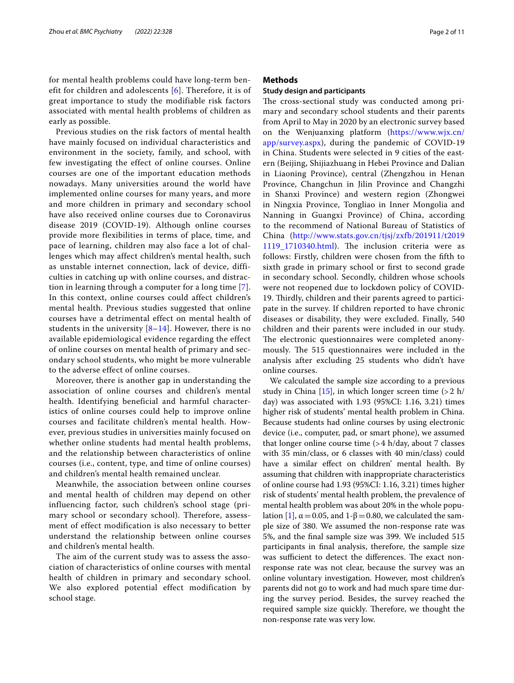for mental health problems could have long-term benefit for children and adolescents [[6\]](#page-9-5). Therefore, it is of great importance to study the modifiable risk factors associated with mental health problems of children as early as possible.

Previous studies on the risk factors of mental health have mainly focused on individual characteristics and environment in the society, family, and school, with few investigating the effect of online courses. Online courses are one of the important education methods nowadays. Many universities around the world have implemented online courses for many years, and more and more children in primary and secondary school have also received online courses due to Coronavirus disease 2019 (COVID-19). Although online courses provide more flexibilities in terms of place, time, and pace of learning, children may also face a lot of challenges which may affect children's mental health, such as unstable internet connection, lack of device, difficulties in catching up with online courses, and distraction in learning through a computer for a long time [[7\]](#page-9-6). In this context, online courses could affect children's mental health. Previous studies suggested that online courses have a detrimental effect on mental health of students in the university  $[8-14]$  $[8-14]$  $[8-14]$ . However, there is no available epidemiological evidence regarding the effect of online courses on mental health of primary and secondary school students, who might be more vulnerable to the adverse effect of online courses.

Moreover, there is another gap in understanding the association of online courses and children's mental health. Identifying beneficial and harmful characteristics of online courses could help to improve online courses and facilitate children's mental health. However, previous studies in universities mainly focused on whether online students had mental health problems, and the relationship between characteristics of online courses (i.e., content, type, and time of online courses) and children's mental health remained unclear.

Meanwhile, the association between online courses and mental health of children may depend on other influencing factor, such children's school stage (primary school or secondary school). Therefore, assessment of effect modification is also necessary to better understand the relationship between online courses and children's mental health.

The aim of the current study was to assess the association of characteristics of online courses with mental health of children in primary and secondary school. We also explored potential effect modification by school stage.

# **Methods**

## **Study design and participants**

The cross-sectional study was conducted among primary and secondary school students and their parents from April to May in 2020 by an electronic survey based on the Wenjuanxing platform [\(https://www.wjx.cn/](https://www.wjx.cn/app/survey.aspx) [app/survey.aspx](https://www.wjx.cn/app/survey.aspx)), during the pandemic of COVID-19 in China. Students were selected in 9 cities of the eastern (Beijing, Shijiazhuang in Hebei Province and Dalian in Liaoning Province), central (Zhengzhou in Henan Province, Changchun in Jilin Province and Changzhi in Shanxi Province) and western region (Zhongwei in Ningxia Province, Tongliao in Inner Mongolia and Nanning in Guangxi Province) of China, according to the recommend of National Bureau of Statistics of China [\(http://www.stats.gov.cn/tjsj/zxfb/201911/t2019](http://www.stats.gov.cn/tjsj/zxfb/201911/t20191119_1710340.html) [1119\\_1710340.html](http://www.stats.gov.cn/tjsj/zxfb/201911/t20191119_1710340.html)). The inclusion criteria were as follows: Firstly, children were chosen from the ffth to sixth grade in primary school or frst to second grade in secondary school. Secondly, children whose schools were not reopened due to lockdown policy of COVID-19. Thirdly, children and their parents agreed to participate in the survey. If children reported to have chronic diseases or disability, they were excluded. Finally, 540 children and their parents were included in our study. The electronic questionnaires were completed anonymously. The 515 questionnaires were included in the analysis after excluding 25 students who didn't have online courses.

We calculated the sample size according to a previous study in China [[15](#page-9-9)], in which longer screen time  $(>2 h$ / day) was associated with 1.93 (95%CI: 1.16, 3.21) times higher risk of students' mental health problem in China. Because students had online courses by using electronic device (i.e., computer, pad, or smart phone), we assumed that longer online course time  $(>4 \text{ h/day}, \text{ about } 7 \text{ classes})$ with 35 min/class, or 6 classes with 40 min/class) could have a similar efect on children' mental health. By assuming that children with inappropriate characteristics of online course had 1.93 (95%CI: 1.16, 3.21) times higher risk of students' mental health problem, the prevalence of mental health problem was about 20% in the whole popu-lation [[1\]](#page-9-0),  $\alpha$  = 0.05, and 1-β = 0.80, we calculated the sample size of 380. We assumed the non-response rate was 5%, and the fnal sample size was 399. We included 515 participants in fnal analysis, therefore, the sample size was sufficient to detect the differences. The exact nonresponse rate was not clear, because the survey was an online voluntary investigation. However, most children's parents did not go to work and had much spare time during the survey period. Besides, the survey reached the required sample size quickly. Therefore, we thought the non-response rate was very low.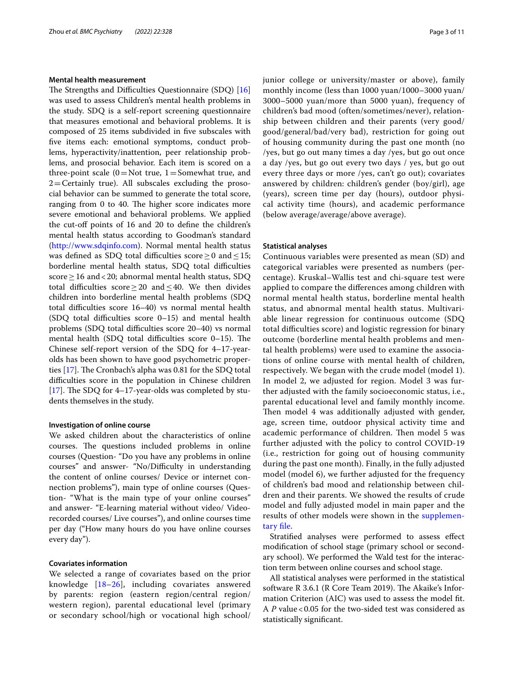## **Mental health measurement**

The Strengths and Difficulties Questionnaire (SDQ) [[16](#page-9-10)] was used to assess Children's mental health problems in the study. SDQ is a self-report screening questionnaire that measures emotional and behavioral problems. It is composed of 25 items subdivided in fve subscales with five items each: emotional symptoms, conduct problems, hyperactivity/inattention, peer relationship problems, and prosocial behavior. Each item is scored on a three-point scale  $(0=Not true, 1=Somewhat true, and)$  $2=$  Certainly true). All subscales excluding the prosocial behavior can be summed to generate the total score, ranging from 0 to 40. The higher score indicates more severe emotional and behavioral problems. We applied the cut-off points of 16 and 20 to define the children's mental health status according to Goodman's standard ([http://www.sdqinfo.com\)](http://www.sdqinfo.com). Normal mental health status was defined as SDQ total difficulties score > 0 and < 15; borderline mental health status, SDO total difficulties score > 16 and < 20; abnormal mental health status, SDQ total difculties score≥20 and≤40. We then divides children into borderline mental health problems (SDQ total difficulties score 16–40) vs normal mental health (SDQ total difficulties score  $0-15$ ) and mental health problems (SDQ total difficulties score 20-40) vs normal mental health (SDQ total difficulties score  $0-15$ ). The Chinese self-report version of the SDQ for 4–17-yearolds has been shown to have good psychometric properties  $[17]$  $[17]$ . The Cronbach's alpha was 0.81 for the SDQ total difficulties score in the population in Chinese children [[17\]](#page-9-11). The SDQ for 4–17-year-olds was completed by students themselves in the study.

#### **Investigation of online course**

We asked children about the characteristics of online courses. The questions included problems in online courses (Question- "Do you have any problems in online courses" and answer- "No/Difficulty in understanding the content of online courses/ Device or internet connection problems"), main type of online courses (Question- "What is the main type of your online courses" and answer- "E-learning material without video/ Videorecorded courses/ Live courses"), and online courses time per day ("How many hours do you have online courses every day").

# **Covariates information**

We selected a range of covariates based on the prior knowledge [\[18](#page-9-12)[–26](#page-9-13)], including covariates answered by parents: region (eastern region/central region/ western region), parental educational level (primary or secondary school/high or vocational high school/ junior college or university/master or above), family monthly income (less than 1000 yuan/1000–3000 yuan/ 3000–5000 yuan/more than 5000 yuan), frequency of children's bad mood (often/sometimes/never), relationship between children and their parents (very good/ good/general/bad/very bad), restriction for going out of housing community during the past one month (no /yes, but go out many times a day /yes, but go out once a day /yes, but go out every two days / yes, but go out every three days or more /yes, can't go out); covariates answered by children: children's gender (boy/girl), age (years), screen time per day (hours), outdoor physical activity time (hours), and academic performance (below average/average/above average).

### **Statistical analyses**

Continuous variables were presented as mean (SD) and categorical variables were presented as numbers (percentage). Kruskal–Wallis test and chi-square test were applied to compare the diferences among children with normal mental health status, borderline mental health status, and abnormal mental health status. Multivariable linear regression for continuous outcome (SDQ total difculties score) and logistic regression for binary outcome (borderline mental health problems and mental health problems) were used to examine the associations of online course with mental health of children, respectively. We began with the crude model (model 1). In model 2, we adjusted for region. Model 3 was further adjusted with the family socioeconomic status, i.e., parental educational level and family monthly income. Then model 4 was additionally adjusted with gender, age, screen time, outdoor physical activity time and academic performance of children. Then model 5 was further adjusted with the policy to control COVID-19 (i.e., restriction for going out of housing community during the past one month). Finally, in the fully adjusted model (model 6), we further adjusted for the frequency of children's bad mood and relationship between children and their parents. We showed the results of crude model and fully adjusted model in main paper and the results of other models were shown in the [supplemen](#page-8-0)[tary fle.](#page-8-0)

Stratifed analyses were performed to assess efect modifcation of school stage (primary school or secondary school). We performed the Wald test for the interaction term between online courses and school stage.

All statistical analyses were performed in the statistical software R 3.6.1 (R Core Team 2019). The Akaike's Information Criterion (AIC) was used to assess the model ft. A *P* value < 0.05 for the two-sided test was considered as statistically signifcant.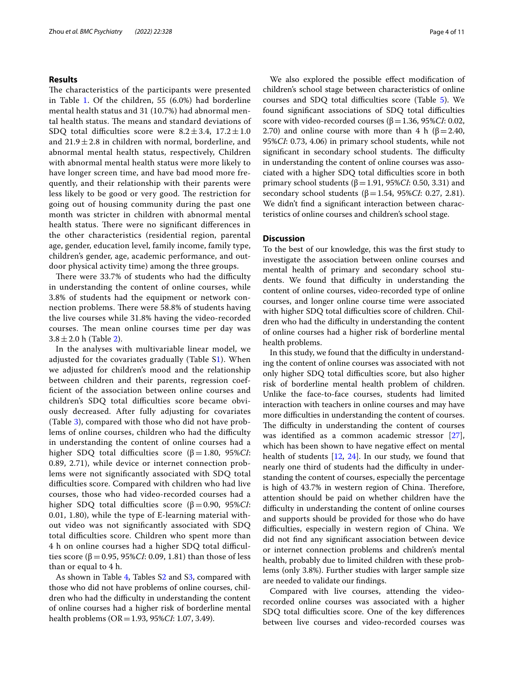# **Results**

The characteristics of the participants were presented in Table [1](#page-4-0). Of the children, 55 (6.0%) had borderline mental health status and 31 (10.7%) had abnormal mental health status. The means and standard deviations of SDQ total difficulties score were  $8.2 \pm 3.4$ ,  $17.2 \pm 1.0$ and  $21.9 \pm 2.8$  in children with normal, borderline, and abnormal mental health status, respectively, Children with abnormal mental health status were more likely to have longer screen time, and have bad mood more frequently, and their relationship with their parents were less likely to be good or very good. The restriction for going out of housing community during the past one month was stricter in children with abnormal mental health status. There were no significant differences in the other characteristics (residential region, parental age, gender, education level, family income, family type, children's gender, age, academic performance, and outdoor physical activity time) among the three groups.

There were 33.7% of students who had the difficulty in understanding the content of online courses, while 3.8% of students had the equipment or network connection problems. There were 58.8% of students having the live courses while 31.8% having the video-recorded courses. The mean online courses time per day was  $3.8 \pm 2.0$  $3.8 \pm 2.0$  $3.8 \pm 2.0$  h (Table 2).

In the analyses with multivariable linear model, we adjusted for the covariates gradually (Table S[1\)](#page-8-0). When we adjusted for children's mood and the relationship between children and their parents, regression coeffcient of the association between online courses and children's SDQ total difficulties score became obviously decreased. After fully adjusting for covariates (Table [3\)](#page-5-1), compared with those who did not have problems of online courses, children who had the difficulty in understanding the content of online courses had a higher SDQ total difficulties score ( $β = 1.80$ ,  $95\%CI$ : 0.89, 2.71), while device or internet connection problems were not signifcantly associated with SDQ total difculties score. Compared with children who had live courses, those who had video-recorded courses had a higher SDQ total difficulties score (β = 0.90, 95%*CI*: 0.01, 1.80), while the type of E-learning material without video was not signifcantly associated with SDQ total difficulties score. Children who spent more than 4 h on online courses had a higher SDQ total difficulties score ( $β = 0.95$ , 95%*CI*: 0.09, 1.81) than those of less than or equal to 4 h.

As shown in Table [4,](#page-6-0) Tables S[2](#page-8-0) and S[3](#page-8-0), compared with those who did not have problems of online courses, children who had the difficulty in understanding the content of online courses had a higher risk of borderline mental health problems (OR=1.93, 95%*CI*: 1.07, 3.49).

We also explored the possible efect modifcation of children's school stage between characteristics of online courses and SDQ total difficulties score (Table  $5$ ). We found significant associations of SDQ total difficulties score with video-recorded courses (β=1.36, 95%*CI*: 0.02, 2.70) and online course with more than 4 h (β = 2.40, 95%*CI*: 0.73, 4.06) in primary school students, while not significant in secondary school students. The difficulty in understanding the content of online courses was associated with a higher SDQ total difficulties score in both primary school students (β=1.91, 95%*CI*: 0.50, 3.31) and secondary school students (β=1.54, 95%*CI*: 0.27, 2.81). We didn't fnd a signifcant interaction between characteristics of online courses and children's school stage.

# **Discussion**

To the best of our knowledge, this was the frst study to investigate the association between online courses and mental health of primary and secondary school students. We found that difficulty in understanding the content of online courses, video-recorded type of online courses, and longer online course time were associated with higher SDQ total difficulties score of children. Children who had the difficulty in understanding the content of online courses had a higher risk of borderline mental health problems.

In this study, we found that the difficulty in understanding the content of online courses was associated with not only higher SDQ total difficulties score, but also higher risk of borderline mental health problem of children. Unlike the face-to-face courses, students had limited interaction with teachers in online courses and may have more difficulties in understanding the content of courses. The difficulty in understanding the content of courses was identifed as a common academic stressor [\[27](#page-9-14)], which has been shown to have negative efect on mental health of students [\[12,](#page-9-15) [24\]](#page-9-16). In our study, we found that nearly one third of students had the difficulty in understanding the content of courses, especially the percentage is high of 43.7% in western region of China. Therefore, attention should be paid on whether children have the difficulty in understanding the content of online courses and supports should be provided for those who do have difficulties, especially in western region of China. We did not fnd any signifcant association between device or internet connection problems and children's mental health, probably due to limited children with these problems (only 3.8%). Further studies with larger sample size are needed to validate our fndings.

Compared with live courses, attending the videorecorded online courses was associated with a higher SDQ total difficulties score. One of the key differences between live courses and video-recorded courses was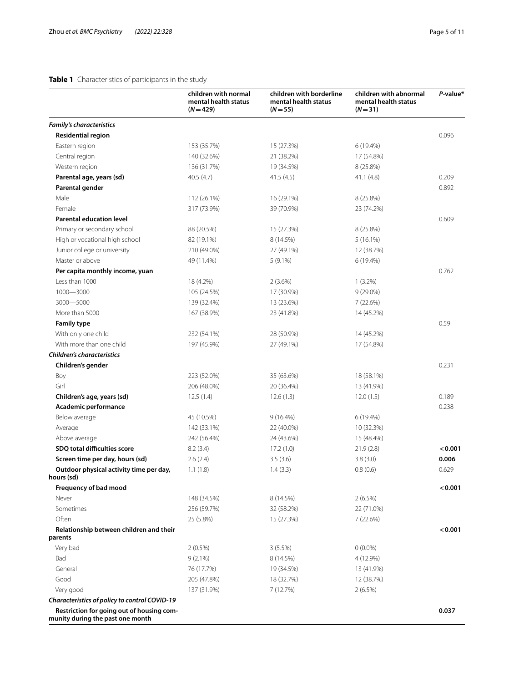# <span id="page-4-0"></span>**Table 1** Characteristics of participants in the study

|                                                                               | children with normal<br>mental health status<br>$(N = 429)$ | children with borderline<br>mental health status<br>$(N = 55)$ | children with abnormal<br>mental health status<br>$(N = 31)$ | P-value* |
|-------------------------------------------------------------------------------|-------------------------------------------------------------|----------------------------------------------------------------|--------------------------------------------------------------|----------|
| <b>Family's characteristics</b>                                               |                                                             |                                                                |                                                              |          |
| <b>Residential region</b>                                                     |                                                             |                                                                |                                                              | 0.096    |
| Eastern region                                                                | 153 (35.7%)                                                 | 15 (27.3%)                                                     | 6 (19.4%)                                                    |          |
| Central region                                                                | 140 (32.6%)                                                 | 21 (38.2%)                                                     | 17 (54.8%)                                                   |          |
| Western region                                                                | 136 (31.7%)                                                 | 19 (34.5%)                                                     | 8 (25.8%)                                                    |          |
| Parental age, years (sd)                                                      | 40.5(4.7)                                                   | 41.5(4.5)                                                      | 41.1 (4.8)                                                   | 0.209    |
| Parental gender                                                               |                                                             |                                                                |                                                              | 0.892    |
| Male                                                                          | 112 (26.1%)                                                 | 16 (29.1%)                                                     | 8 (25.8%)                                                    |          |
| Female                                                                        | 317 (73.9%)                                                 | 39 (70.9%)                                                     | 23 (74.2%)                                                   |          |
| <b>Parental education level</b>                                               |                                                             |                                                                |                                                              | 0.609    |
| Primary or secondary school                                                   | 88 (20.5%)                                                  | 15 (27.3%)                                                     | 8 (25.8%)                                                    |          |
| High or vocational high school                                                | 82 (19.1%)                                                  | 8 (14.5%)                                                      | $5(16.1\%)$                                                  |          |
| Junior college or university                                                  | 210 (49.0%)                                                 | 27 (49.1%)                                                     | 12 (38.7%)                                                   |          |
| Master or above                                                               | 49 (11.4%)                                                  | $5(9.1\%)$                                                     | 6 (19.4%)                                                    |          |
| Per capita monthly income, yuan                                               |                                                             |                                                                |                                                              | 0.762    |
| Less than 1000                                                                | 18 (4.2%)                                                   | 2(3.6%)                                                        | $1(3.2\%)$                                                   |          |
| 1000-3000                                                                     | 105 (24.5%)                                                 | 17 (30.9%)                                                     | $9(29.0\%)$                                                  |          |
| 3000-5000                                                                     | 139 (32.4%)                                                 | 13 (23.6%)                                                     | 7 (22.6%)                                                    |          |
| More than 5000                                                                | 167 (38.9%)                                                 | 23 (41.8%)                                                     | 14 (45.2%)                                                   |          |
| <b>Family type</b>                                                            |                                                             |                                                                |                                                              | 0.59     |
| With only one child                                                           | 232 (54.1%)                                                 | 28 (50.9%)                                                     | 14 (45.2%)                                                   |          |
| With more than one child                                                      | 197 (45.9%)                                                 | 27 (49.1%)                                                     | 17 (54.8%)                                                   |          |
| <b>Children's characteristics</b>                                             |                                                             |                                                                |                                                              |          |
| Children's gender                                                             |                                                             |                                                                |                                                              | 0.231    |
| Boy                                                                           | 223 (52.0%)                                                 | 35 (63.6%)                                                     | 18 (58.1%)                                                   |          |
| Girl                                                                          | 206 (48.0%)                                                 | 20 (36.4%)                                                     | 13 (41.9%)                                                   |          |
| Children's age, years (sd)                                                    | 12.5(1.4)                                                   | 12.6(1.3)                                                      | 12.0(1.5)                                                    | 0.189    |
| Academic performance                                                          |                                                             |                                                                |                                                              | 0.238    |
| Below average                                                                 | 45 (10.5%)                                                  | 9(16.4%)                                                       | 6 (19.4%)                                                    |          |
| Average                                                                       | 142 (33.1%)                                                 | 22 (40.0%)                                                     | 10 (32.3%)                                                   |          |
| Above average                                                                 | 242 (56.4%)                                                 | 24 (43.6%)                                                     | 15 (48.4%)                                                   |          |
| SDQ total difficulties score                                                  | 8.2(3.4)                                                    | 17.2(1.0)                                                      | 21.9(2.8)                                                    | < 0.001  |
| Screen time per day, hours (sd)                                               | 2.6(2.4)                                                    | 3.5(3.6)                                                       | 3.8(3.0)                                                     | 0.006    |
| Outdoor physical activity time per day,<br>hours (sd)                         | 1.1(1.8)                                                    | 1.4(3.3)                                                       | 0.8(0.6)                                                     | 0.629    |
| Frequency of bad mood                                                         |                                                             |                                                                |                                                              | < 0.001  |
| Never                                                                         | 148 (34.5%)                                                 | 8 (14.5%)                                                      | 2(6.5%)                                                      |          |
| Sometimes                                                                     | 256 (59.7%)                                                 | 32 (58.2%)                                                     | 22 (71.0%)                                                   |          |
| Often                                                                         | 25 (5.8%)                                                   | 15 (27.3%)                                                     | 7 (22.6%)                                                    |          |
| Relationship between children and their<br>parents                            |                                                             |                                                                |                                                              | < 0.001  |
| Very bad                                                                      | $2(0.5\%)$                                                  | 3(5.5%)                                                        | $0(0.0\%)$                                                   |          |
| Bad                                                                           | $9(2.1\%)$                                                  | 8 (14.5%)                                                      | 4 (12.9%)                                                    |          |
| General                                                                       | 76 (17.7%)                                                  | 19 (34.5%)                                                     | 13 (41.9%)                                                   |          |
| Good                                                                          | 205 (47.8%)                                                 | 18 (32.7%)                                                     | 12 (38.7%)                                                   |          |
| Very good                                                                     | 137 (31.9%)                                                 | 7 (12.7%)                                                      | 2(6.5%)                                                      |          |
| Characteristics of policy to control COVID-19                                 |                                                             |                                                                |                                                              |          |
| Restriction for going out of housing com-<br>munity during the past one month |                                                             |                                                                |                                                              | 0.037    |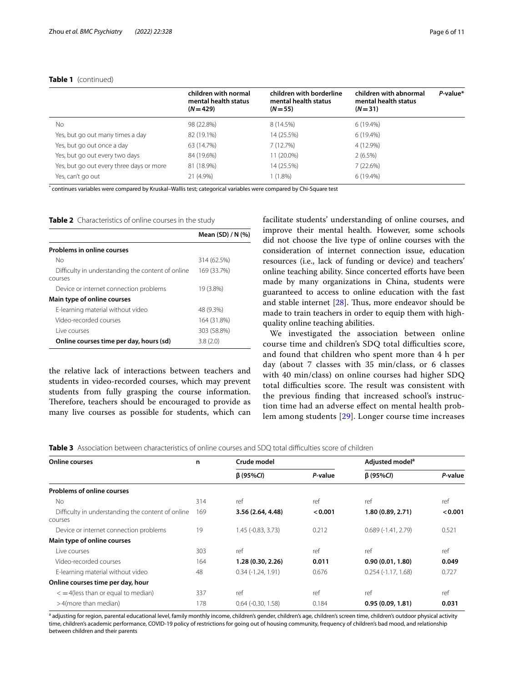# **Table 1** (continued)

|                                          | children with normal<br>mental health status<br>$(N = 429)$ | children with borderline<br>mental health status<br>$(N = 55)$ | children with abnormal<br>mental health status<br>$(N = 31)$ | P-value* |
|------------------------------------------|-------------------------------------------------------------|----------------------------------------------------------------|--------------------------------------------------------------|----------|
| No.                                      | 98 (22.8%)                                                  | 8 (14.5%)                                                      | 6(19.4%)                                                     |          |
| Yes, but go out many times a day         | 82 (19.1%)                                                  | 14 (25.5%)                                                     | 6(19.4%)                                                     |          |
| Yes, but go out once a day               | 63 (14.7%)                                                  | 7 (12.7%)                                                      | 4 (12.9%)                                                    |          |
| Yes, but go out every two days           | 84 (19.6%)                                                  | 11 (20.0%)                                                     | $2(6.5\%)$                                                   |          |
| Yes, but go out every three days or more | 81 (18.9%)                                                  | 14 (25.5%)                                                     | 7(22.6%)                                                     |          |
| Yes, can't go out                        | 21 (4.9%)                                                   | $(1.8\%)$                                                      | $6(19.4\%)$                                                  |          |

\* continues variables were compared by Kruskal–Wallis test; categorical variables were compared by Chi-Square test

<span id="page-5-0"></span>**Table 2** Characteristics of online courses in the study

|                                                              | Mean (SD) / N (%) |
|--------------------------------------------------------------|-------------------|
| <b>Problems in online courses</b>                            |                   |
| No                                                           | 314 (62.5%)       |
| Difficulty in understanding the content of online<br>courses | 169 (33.7%)       |
| Device or internet connection problems                       | 19 (3.8%)         |
| Main type of online courses                                  |                   |
| E-learning material without video                            | 48 (9.3%)         |
| Video-recorded courses                                       | 164 (31.8%)       |
| Live courses                                                 | 303 (58.8%)       |
| Online courses time per day, hours (sd)                      | 3.8(2.0)          |

the relative lack of interactions between teachers and students in video-recorded courses, which may prevent students from fully grasping the course information. Therefore, teachers should be encouraged to provide as many live courses as possible for students, which can facilitate students' understanding of online courses, and improve their mental health. However, some schools did not choose the live type of online courses with the consideration of internet connection issue, education resources (i.e., lack of funding or device) and teachers' online teaching ability. Since concerted efforts have been made by many organizations in China, students were guaranteed to access to online education with the fast and stable internet  $[28]$  $[28]$ . Thus, more endeavor should be made to train teachers in order to equip them with highquality online teaching abilities.

We investigated the association between online course time and children's SDQ total difficulties score, and found that children who spent more than 4 h per day (about 7 classes with 35 min/class, or 6 classes with 40 min/class) on online courses had higher SDQ total difficulties score. The result was consistent with the previous fnding that increased school's instruction time had an adverse efect on mental health problem among students [\[29](#page-10-1)]. Longer course time increases

<span id="page-5-1"></span>**Table 3** Association between characteristics of online courses and SDQ total difficulties score of children

| <b>Online courses</b>                                        | n   | Crude model                 |         | Adjusted model <sup>a</sup> |         |
|--------------------------------------------------------------|-----|-----------------------------|---------|-----------------------------|---------|
|                                                              |     | $\beta$ (95%CI)             | P-value | $\beta$ (95%CI)             | P-value |
| <b>Problems of online courses</b>                            |     |                             |         |                             |         |
| Nο                                                           | 314 | ref                         | ref     | ref                         | ref     |
| Difficulty in understanding the content of online<br>courses | 169 | 3.56 (2.64, 4.48)           | < 0.001 | 1.80 (0.89, 2.71)           | < 0.001 |
| Device or internet connection problems                       | 19  | $1.45$ ( $-0.83$ , $3.73$ ) | 0.212   | $0.689(-1.41, 2.79)$        | 0.521   |
| Main type of online courses                                  |     |                             |         |                             |         |
| Live courses                                                 | 303 | ref                         | ref     | ref                         | ref     |
| Video-recorded courses                                       | 164 | 1.28(0.30, 2.26)            | 0.011   | 0.90(0.01, 1.80)            | 0.049   |
| E-learning material without video                            | 48  | $0.34(-1.24, 1.91)$         | 0.676   | $0.254(-1.17, 1.68)$        | 0.727   |
| Online courses time per day, hour                            |     |                             |         |                             |         |
| $\leq$ = 4(less than or equal to median)                     | 337 | ref                         | ref     | ref                         | ref     |
| >4(more than median)                                         | 178 | $0.64$ $(-0.30, 1.58)$      | 0.184   | 0.95(0.09, 1.81)            | 0.031   |

a adjusting for region, parental educational level, family monthly income, children's gender, children's age, children's screen time, children's outdoor physical activity time, children's academic performance, COVID-19 policy of restrictions for going out of housing community, frequency of children's bad mood, and relationship between children and their parents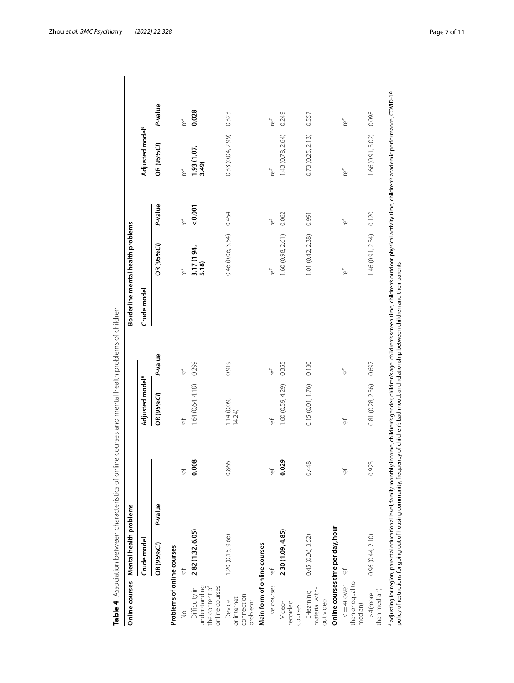| Online courses                                                     | Mental health problems            |       |                             |         | Borderline mental health problems |                           |         |                             |         |
|--------------------------------------------------------------------|-----------------------------------|-------|-----------------------------|---------|-----------------------------------|---------------------------|---------|-----------------------------|---------|
|                                                                    | Crude model                       |       | Adjusted model <sup>a</sup> |         | Crude model                       |                           |         | Adjusted model <sup>a</sup> |         |
|                                                                    | P-value<br>OR (95%Cl)             |       | OR (95%CI)                  | P-value |                                   | OR (95%C)                 | P-value | OR (95%CI)                  | P-value |
| Problems of online courses                                         |                                   |       |                             |         |                                   |                           |         |                             |         |
| $\frac{1}{2}$                                                      | ĭēf                               | ľē    | ľef                         | ĭēf     |                                   | ۲è۴                       | ۲ě      | ť                           | Į       |
| understanding<br>online courses<br>the content of<br>Difficulty in | 2.82 (1.32, 6.05)                 | 0.008 | 1.64(0.64, 4.18)            | 0.299   |                                   | $\frac{3.17(1.94)}{5.18}$ | 0.001   | $\frac{1.93(1.07)}{3.49}$   | 0.028   |
| connection<br>or internet<br>problems<br>Device                    | 1.20 (0.15, 9.66)                 | 0.866 | 1.14(0.09, 14.24)           | 0.919   |                                   | 0.46 (0.06, 3.54)         | 0.454   | 0.33(0.04, 2.99)            | 0.323   |
| Main form of online courses                                        |                                   |       |                             |         |                                   |                           |         |                             |         |
| Live courses                                                       | ľē                                | ref   | ĭēf                         | ۲è۴     |                                   | ĭēf                       | ref     | ref                         | Į       |
| recorded<br>Video-<br>courses                                      | 2.30 (1.09, 4.85)                 | 0.029 | 1.60 (0.59, 4.29)           | 0.355   |                                   | 1.60(0.98, 2.61)          | 0.062   | 1.43(0.78, 2.64)            | 0.249   |
| material with-<br>E-learning<br>out video                          | 0.45 (0.06, 3.52)                 | 0.448 | 0.15(0.01, 1.76)            | 0.130   |                                   | 1.01 (0.42, 2.38)         | 0.991   | 0.73(0.25, 2.13)            | 0.557   |
|                                                                    | Online courses time per day, hour |       |                             |         |                                   |                           |         |                             |         |
| than or equal to<br>$\leq$ =4(lower<br>median)                     | ľēf                               | ref   | ref                         | ref     |                                   | Ĭē                        | ref     | ref                         | Į       |
| than median)<br>$>4$ (more                                         | 0.96 (0.44, 2.10)                 | 0.923 | 0.81(0.28, 2.36)            | 0.697   |                                   | 1.46(0.91, 2.34)          | 0.120   | 1.66(0.91, 3.02)            | 0.098   |

<span id="page-6-0"></span>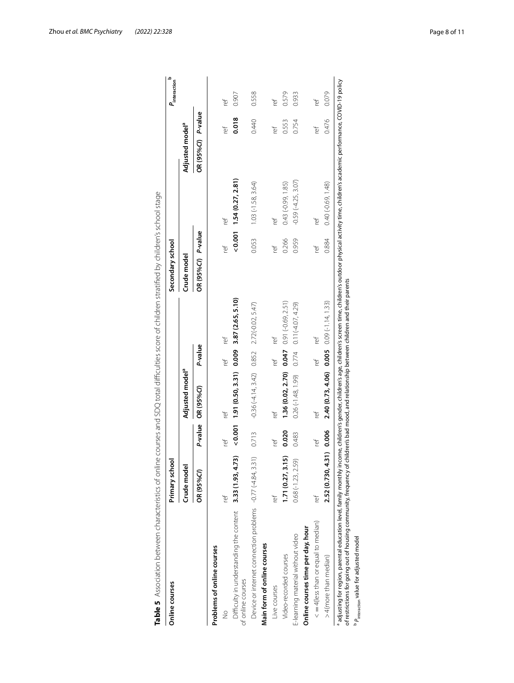| Online courses                                                                 | Primary school      |             |                                                         |         |                             | Secondary school   |       |                              |                             |       | م<br>$P_{\text{interaction}}$ |
|--------------------------------------------------------------------------------|---------------------|-------------|---------------------------------------------------------|---------|-----------------------------|--------------------|-------|------------------------------|-----------------------------|-------|-------------------------------|
|                                                                                | Crude model         |             | Adjusted model <sup>a</sup>                             |         |                             | Crude model        |       |                              | Adjusted model <sup>a</sup> |       |                               |
|                                                                                | OR (95%CI)          |             | P-value OR (95%CI)                                      | P-value |                             | OR (95%Cl) P-value |       |                              | OR (95%Cl) P-value          |       |                               |
| Problems of online courses                                                     |                     |             |                                                         |         |                             |                    |       |                              |                             |       |                               |
| $\frac{1}{2}$                                                                  | ľe                  | ۲è۴         | ľē                                                      | ref     | ľef                         |                    | ľef   | Ť                            | ľēÍ                         |       | ľef                           |
| Difficulty in understanding the content 3.33 (1.93, 4.73)<br>of online courses |                     |             | $(0.001 \t1.91(0.50, 3.31) \t0.009 \t3.87(2.65, 5.10))$ |         |                             |                    |       | $(0.001 \t1.54(0.27, 2.81))$ |                             | 0.018 | 0.907                         |
| Device or internet connection problems -0.77 (-4.84, 3.31)                     |                     | 0.713       | $-0.36(-4.14, 3.42)$ $0.852$ $2.72(-0.02, 5.47)$        |         |                             |                    | 0.053 | $1.03(-1.58, 3.64)$          |                             | 0.440 | 0.558                         |
| Main form of online courses                                                    |                     |             |                                                         |         |                             |                    |       |                              |                             |       |                               |
| Live courses                                                                   | ť                   | Į           | ľē                                                      | ľef     | ľef                         |                    | Įē    | ľef                          | ľēÍ                         |       | ref                           |
| Video-recorded courses                                                         | 1.71(0.27, 3.15)    | 0.020       | 1.36 (0.02, 2.70) 0.047 0.91 (-0.69, 2.51)              |         |                             |                    | 0.266 | $0.43(-0.99, 1.85)$          |                             | 0.553 | 0.579                         |
| E-learning material without video                                              | $0.68(-1.23, 2.59)$ | 0.483       | $0.26(-1.48, 1.99)$                                     |         | $0.774$ $0.11(-4.07, 4.29)$ |                    | 0.959 | $-0.59(-4.25, 3.07)$         |                             | 0.754 | 0.933                         |
| Online courses time per day, hour                                              |                     |             |                                                         |         |                             |                    |       |                              |                             |       |                               |
| $\lt = 4$ (less than or equal to median)                                       | ref                 | ľē          | ťef                                                     | ľef     | ľef                         |                    | ۲è۴   | ľēÍ                          | ref                         |       | ľef                           |
| >4(more than median)                                                           | 2.52 (0.730, 4      | 1.31) 0.006 | $2.40(0.73, 4.06)$ 0.005 0.09 (-1.14, 1.33)             |         |                             |                    | 0.884 | $0.40(-0.69, 1.48)$          |                             | 0.476 | 0.079                         |

<span id="page-7-0"></span>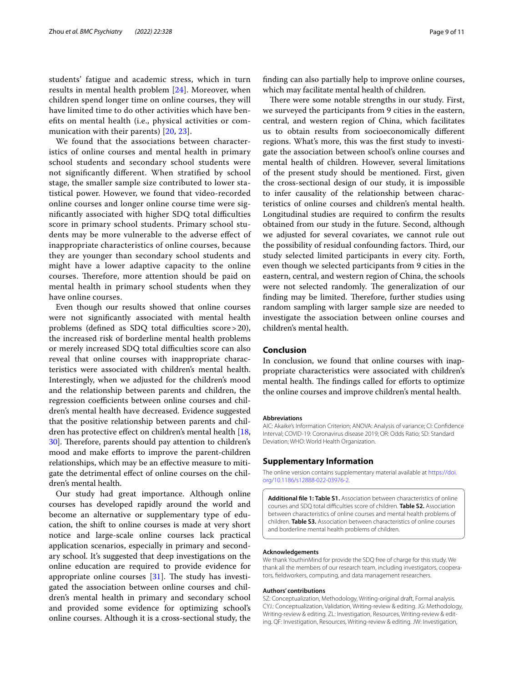students' fatigue and academic stress, which in turn results in mental health problem [[24\]](#page-9-16). Moreover, when children spend longer time on online courses, they will have limited time to do other activities which have benefts on mental health (i.e., physical activities or communication with their parents) [[20,](#page-9-17) [23\]](#page-9-18).

We found that the associations between characteristics of online courses and mental health in primary school students and secondary school students were not signifcantly diferent. When stratifed by school stage, the smaller sample size contributed to lower statistical power. However, we found that video-recorded online courses and longer online course time were significantly associated with higher SDQ total difficulties score in primary school students. Primary school students may be more vulnerable to the adverse efect of inappropriate characteristics of online courses, because they are younger than secondary school students and might have a lower adaptive capacity to the online courses. Therefore, more attention should be paid on mental health in primary school students when they have online courses.

Even though our results showed that online courses were not signifcantly associated with mental health problems (defined as SDQ total difficulties score  $>$  20), the increased risk of borderline mental health problems or merely increased SDQ total difficulties score can also reveal that online courses with inappropriate characteristics were associated with children's mental health. Interestingly, when we adjusted for the children's mood and the relationship between parents and children, the regression coefficients between online courses and children's mental health have decreased. Evidence suggested that the positive relationship between parents and chil-dren has protective effect on children's mental health [\[18](#page-9-12), [30\]](#page-10-2). Therefore, parents should pay attention to children's mood and make efforts to improve the parent-children relationships, which may be an efective measure to mitigate the detrimental efect of online courses on the children's mental health.

Our study had great importance. Although online courses has developed rapidly around the world and become an alternative or supplementary type of education, the shift to online courses is made at very short notice and large-scale online courses lack practical application scenarios, especially in primary and secondary school. It's suggested that deep investigations on the online education are required to provide evidence for appropriate online courses  $[31]$  $[31]$ . The study has investigated the association between online courses and children's mental health in primary and secondary school and provided some evidence for optimizing school's online courses. Although it is a cross-sectional study, the fnding can also partially help to improve online courses, which may facilitate mental health of children.

There were some notable strengths in our study. First, we surveyed the participants from 9 cities in the eastern, central, and western region of China, which facilitates us to obtain results from socioeconomically diferent regions. What's more, this was the frst study to investigate the association between school's online courses and mental health of children. However, several limitations of the present study should be mentioned. First, given the cross-sectional design of our study, it is impossible to infer causality of the relationship between characteristics of online courses and children's mental health. Longitudinal studies are required to confrm the results obtained from our study in the future. Second, although we adjusted for several covariates, we cannot rule out the possibility of residual confounding factors. Third, our study selected limited participants in every city. Forth, even though we selected participants from 9 cities in the eastern, central, and western region of China, the schools were not selected randomly. The generalization of our finding may be limited. Therefore, further studies using random sampling with larger sample size are needed to investigate the association between online courses and children's mental health.

# **Conclusion**

In conclusion, we found that online courses with inappropriate characteristics were associated with children's mental health. The findings called for efforts to optimize the online courses and improve children's mental health.

#### **Abbreviations**

AIC: Akaike's Information Criterion; ANOVA: Analysis of variance; CI: Confdence Interval; COVID-19: Coronavirus disease 2019; OR: Odds Ratio; SD: Standard Deviation; WHO: World Health Organization.

### **Supplementary Information**

The online version contains supplementary material available at [https://doi.](https://doi.org/10.1186/s12888-022-03976-2) [org/10.1186/s12888-022-03976-2](https://doi.org/10.1186/s12888-022-03976-2).

<span id="page-8-0"></span>**Additional fle 1: Table S1.** Association between characteristics of online courses and SDQ total difculties score of children. **Table S2.** Association between characteristics of online courses and mental health problems of children. **Table S3.** Association between characteristics of online courses and borderline mental health problems of children.

#### **Acknowledgements**

We thank YouthinMind for provide the SDQ free of charge for this study. We thank all the members of our research team, including investigators, coopera‑ tors, feldworkers, computing, and data management researchers.

#### **Authors' contributions**

SZ: Conceptualization, Methodology, Writing-original draft, Formal analysis. CYJ.: Conceptualization, Validation, Writing-review & editing. JG: Methodology, Writing-review & editing. ZL: Investigation, Resources, Writing-review & editing. QF: Investigation, Resources, Writing-review & editing. JW: Investigation,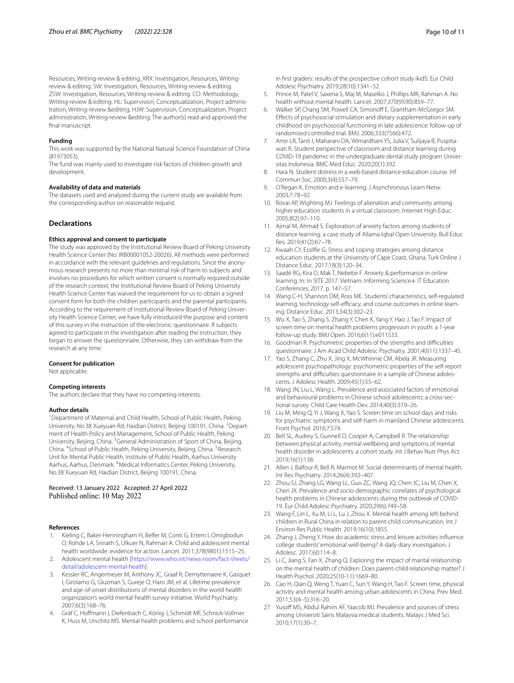Resources, Writing-review & editing. XRX: Investigation, Resources, Writingreview & editing. SW: Investigation, Resources, Writing-review & editing. ZSW: Investigation, Resources, Writing-review & editing. CO: Methodology, Writing-review & editing. HL: Supervision, Conceptualization, Project administration, Writing-review &editing. HJW: Supervision, Conceptualization, Project administration, Writing-review &editing. The author(s) read and approved the final manuscript.

### **Funding**

This work was supported by the National Natural Science Foundation of China (81973053).

The fund was mainly used to investigate risk factors of children growth and development.

#### **Availability of data and materials**

The datasets used and analyzed during the current study are available from the corresponding author on reasonable request.

## **Declarations**

### **Ethics approval and consent to participate**

The study was approved by the Institutional Review Board of Peking University Health Science Center (No. IRB00001052-20026). All methods were performed in accordance with the relevant guidelines and regulations. Since the anonymous research presents no more than minimal risk of harm to subjects and involves no procedures for which written consent is normally required outside of the research context, the Institutional Review Board of Peking University Health Science Center has waived the requirement for us to obtain a signed consent form for both the children participants and the parental participants. According to the requirement of Institutional Review Board of Peking Univer‑ sity Health Science Center, we have fully introduced the purpose and content of this survey in the instruction of the electronic questionnaire. If subjects agreed to participate in the investigation after reading the instruction, they began to answer the questionnaire. Otherwise, they can withdraw from the research at any time.

#### **Consent for publication**

Not applicable.

#### **Competing interests**

The authors declare that they have no competing interests.

#### **Author details**

<sup>1</sup> Department of Maternal and Child Health, School of Public Health, Peking University, No.38 Xueyuan Rd, Haidian District, Beijing 100191, China. <sup>2</sup> Department of Health Policy and Management, School of Public Health, Peking University, Beijing, China. <sup>3</sup> General Administration of Sport of China, Beijing, China. <sup>4</sup> School of Public Health, Peking University, Beijing, China. <sup>5</sup> Research Unit for Mental Public Health, Institute of Public Health, Aarhus University Aarhus, Aarhus, Denmark. <sup>6</sup>Medical Informatics Center, Peking University, No.38 Xueyuan Rd, Haidian District, Beijing 100191, China.

#### Received: 13 January 2022 Accepted: 27 April 2022 Published online: 10 May 2022

#### **References**

- <span id="page-9-0"></span>Kieling C, Baker-Henningham H, Belfer M, Conti G, Ertem I, Omigbodun O, Rohde LA, Srinath S, Ulkuer N, Rahman A. Child and adolescent mental health worldwide: evidence for action. Lancet. 2011;378(9801):1515–25.
- <span id="page-9-1"></span>2. Adolescent mental health [\[https://www.who.int/news-room/fact-sheets/](https://www.who.int/news-room/fact-sheets/detail/adolescent-mental-health) [detail/adolescent-mental-health](https://www.who.int/news-room/fact-sheets/detail/adolescent-mental-health)]
- <span id="page-9-2"></span>3. Kessler RC, Angermeyer M, Anthony JC, Graaf R, Demyttenaere K, Gasquet I, Girolamo G, Gluzman S, Gureje O, Haro JM, et al. Lifetime prevalence and age-of-onset distributions of mental disorders in the world health organization's world mental health survey initiative. World Psychiatry. 2007;6(3):168–76.
- <span id="page-9-3"></span>4. Gräf C, Hofmann I, Diefenbach C, König J, Schmidt MF, Schnick-Vollmer K, Huss M, Urschitz MS. Mental health problems and school performance

in frst graders: results of the prospective cohort study ikidS. Eur Child Adolesc Psychiatry. 2019;28(10):1341–52.

- <span id="page-9-4"></span>5. Prince M, Patel V, Saxena S, Maj M, Maselko J, Phillips MR, Rahman A. No health without mental health. Lancet. 2007;370(9590):859–77.
- <span id="page-9-5"></span>6. Walker SP, Chang SM, Powell CA, Simonoff E, Grantham-McGregor SM. Efects of psychosocial stimulation and dietary supplementation in early childhood on psychosocial functioning in late adolescence: follow-up of randomised controlled trial. BMJ. 2006;333(7566):472.
- <span id="page-9-6"></span>Amir LR, Tanti I, Maharani DA, Wimardhani YS, Julia V, Sulijaya B, Puspitawati R. Student perspective of classroom and distance learning during COVID-19 pandemic in the undergraduate dental study program Universitas Indonesia. BMC Med Educ. 2020;20(1):392.
- <span id="page-9-7"></span>8. Hara N. Student distress in a web-based distance education course. Inf Commun Soc. 2000;3(4):557–79.
- 9. O'Regan K. Emotion and e-learning. J Asynchronous Learn Netw. 2003;7:78–92.
- 10. Rovai AP, Wighting MJ. Feelings of alienation and community among higher education students in a virtual classroom. Internet High Educ. 2005;8(2):97–110.
- 11. Ajmal M, Ahmad S. Exploration of anxiety factors among students of distance learning: a case study of Allama Iqbal Open University. Bull Educ Res. 2019;41(2):67–78.
- <span id="page-9-15"></span>12. Kwaah CY, Essilfe G. Stress and coping strategies among distance education students at the University of Cape Coast, Ghana. Turk Online J Distance Educ. 2017;18(3):120–34.
- 13. Saadé RG, Kira D, Mak T, Nebebe F. Anxiety & performance in online learning. In: In SITE 2017. Vietnam: Informing Science+ IT Education Conferences; 2017. p. 147–57.
- <span id="page-9-8"></span>14. Wang C-H, Shannon DM, Ross ME. Students' characteristics, self-regulated learning, technology self-efficacy, and course outcomes in online learning. Distance Educ. 2013;34(3):302–23.
- <span id="page-9-9"></span>15. Wu X, Tao S, Zhang S, Zhang Y, Chen K, Yang Y, Hao J, Tao F. Impact of screen time on mental health problems progression in youth: a 1-year follow-up study. BMJ Open. 2016;6(11):e011533.
- <span id="page-9-10"></span>16. Goodman R. Psychometric properties of the strengths and difficulties questionnaire. J Am Acad Child Adolesc Psychiatry. 2001;40(11):1337–45.
- <span id="page-9-11"></span>17. Yao S, Zhang C, Zhu X, Jing X, McWhinnie CM, Abela JR. Measuring adolescent psychopathology: psychometric properties of the self-report strengths and difficulties questionnaire in a sample of Chinese adolescents. J Adolesc Health. 2009;45(1):55–62.
- <span id="page-9-12"></span>18. Wang JN, Liu L, Wang L. Prevalence and associated factors of emotional and behavioural problems in Chinese school adolescents: a cross-sectional survey. Child Care Health Dev. 2014;40(3):319–26.
- 19. Liu M, Ming Q, Yi J, Wang X, Yao S. Screen time on school days and risks for psychiatric symptoms and self-harm in mainland Chinese adolescents. Front Psychol. 2016;7:574.
- <span id="page-9-17"></span>20. Bell SL, Audrey S, Gunnell D, Cooper A, Campbell R. The relationship between physical activity, mental wellbeing and symptoms of mental health disorder in adolescents: a cohort study. Int J Behav Nutr Phys Act. 2019;16(1):138.
- 21. Allen J, Balfour R, Bell R, Marmot M. Social determinants of mental health. Int Rev Psychiatry. 2014;26(4):392–407.
- 22. Zhou SJ, Zhang LG, Wang LL, Guo ZC, Wang JQ, Chen JC, Liu M, Chen X, Chen JX. Prevalence and socio-demographic correlates of psychological health problems in Chinese adolescents during the outbreak of COVID-19. Eur Child Adolesc Psychiatry. 2020;29(6):749–58.
- <span id="page-9-18"></span>23. Wang F, Lin L, Xu M, Li L, Lu J, Zhou X. Mental health among left-behind children in Rural China in relation to parent-child communication. Int J Environ Res Public Health. 2019;16(10):1855.
- <span id="page-9-16"></span>24. Zhang J, Zheng Y. How do academic stress and leisure activities infuence college students' emotional well-being? A daily diary investigation. J Adolesc. 2017;60:114–8.
- 25. Li C, Jiang S, Fan X, Zhang Q. Exploring the impact of marital relationship on the mental health of children: Does parent-child relationship matter? J Health Psychol. 2020;25(10-11):1669–80.
- <span id="page-9-13"></span>26. Cao H, Qian Q, Weng T, Yuan C, Sun Y, Wang H, Tao F. Screen time, physical activity and mental health among urban adolescents in China. Prev Med. 2011;53(4–5):316–20.
- <span id="page-9-14"></span>27. Yusoff MS, Abdul Rahim AF, Yaacob MJ. Prevalence and sources of stress among Universiti Sains Malaysia medical students. Malays J Med Sci. 2010;17(1):30–7.